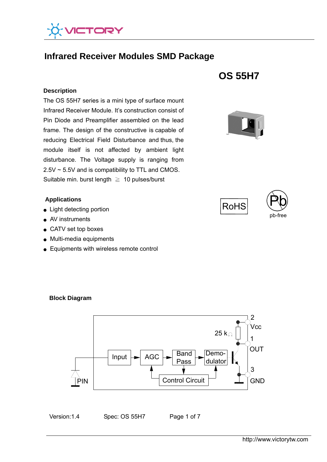

# **Infrared Receiver Modules SMD Package**

#### **Description**

 The OS 55H7 series is a mini type of surface mount  Suitable min. burst length ≧ 10 pulses/burst Infrared Receiver Module. It's construction consist of Pin Diode and Preamplifier assembled on the lead frame. The design of the constructive is capable of reducing Electrical Field Disturbance and thus, the module itself is not affected by ambient light disturbance. The Voltage supply is ranging from 2.5V ~ 5.5V and is compatibility to TTL and CMOS.

#### **Applications**

- Light detecting portion
- AV instruments
- CATV set top boxes
- Multi-media equipments
- Equipments with wireless remote control









**Block Diagram** 

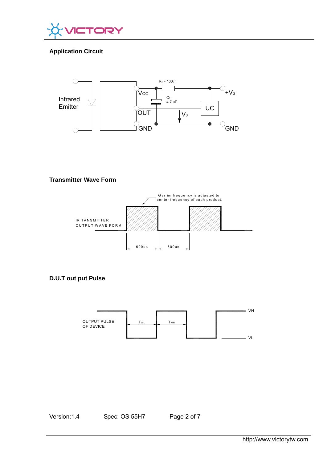

# **Application Circuit**



## **Transmitter Wave Form**



# **D.U.T out put Pulse**



Version:1.4 Spec: OS 55H7 Page 2 of 7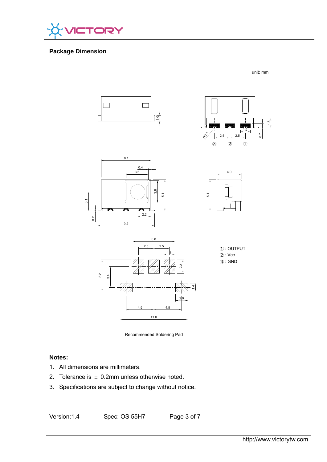

# **Package Dimension**

unit: mm















# **Notes:**

- 1. All dimensions are millimeters.
- 2. Tolerance is  $\pm$  0.2mm unless otherwise noted.
- 3. Specifications are subject to change without notice.

Version:1.4 Spec: OS 55H7 Page 3 of 7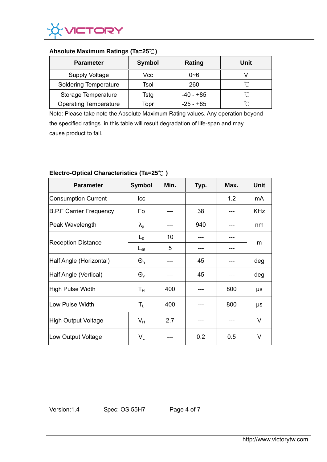

## **Absolute Maximum Ratings (Ta=25**℃**)**

| <b>Parameter</b>             | <b>Symbol</b> | Rating      | Unit   |
|------------------------------|---------------|-------------|--------|
| <b>Supply Voltage</b>        | Vcc           | 0~6         |        |
| <b>Soldering Temperature</b> | Tsol          | 260         | $\sim$ |
| Storage Temperature          | Tstg          | -40 - +85   | $\sim$ |
| <b>Operating Temperature</b> | Topr          | $-25 - +85$ | $\sim$ |

Note: Please take note the Absolute Maximum Rating values. Any operation beyond the specified ratings in this table will result degradation of life-span and may cause product to fail.

| <b>Parameter</b>               | <b>Symbol</b>           | Min. | Typ. | Max. | Unit       |
|--------------------------------|-------------------------|------|------|------|------------|
| <b>Consumption Current</b>     | Icc                     |      |      | 1.2  | mA         |
| <b>B.P.F Carrier Frequency</b> | Fo                      |      | 38   |      | <b>KHz</b> |
| Peak Wavelength                | $\lambda_{p}$           |      | 940  |      | nm         |
| <b>Reception Distance</b>      | $L_0$                   | 10   |      |      | m          |
|                                | $L_{45}$                | 5    |      |      |            |
| Half Angle (Horizontal)        | $\Theta_{h}$            |      | 45   |      | deg        |
| Half Angle (Vertical)          | $\Theta_{v}$            |      | 45   |      | deg        |
| High Pulse Width               | $T_{\rm H}$             | 400  |      | 800  | μs         |
| Low Pulse Width                | $\mathsf{T}_\mathsf{L}$ | 400  |      | 800  | μs         |
| High Output Voltage            | $V_H$                   | 2.7  |      |      | V          |
| Low Output Voltage             | $V_{L}$                 |      | 0.2  | 0.5  | V          |

# **Electro-Optical Characteristics (Ta=25**℃ **)**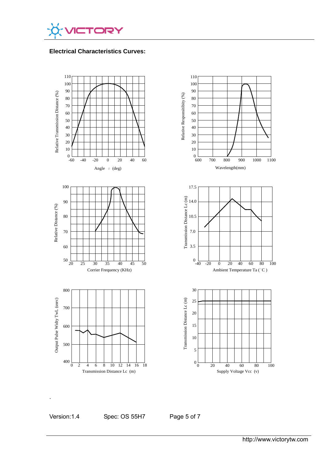

## **Electrical Characteristics Curves:**



.

Version:1.4 Spec: OS 55H7 Page 5 of 7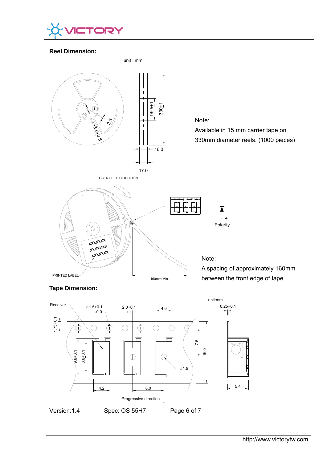

## **Reel Dimension:**



 $\phi$ 1.5

Version:1.4 Spec: OS 55H7 Page 6 of 7

4.2  $\begin{array}{|c|c|c|c|c|} \hline 4.2 & 8.0 \\ \hline \end{array}$ 

 $\oplus$ 

Progressive direction

http://www.victorytw.com

5.4